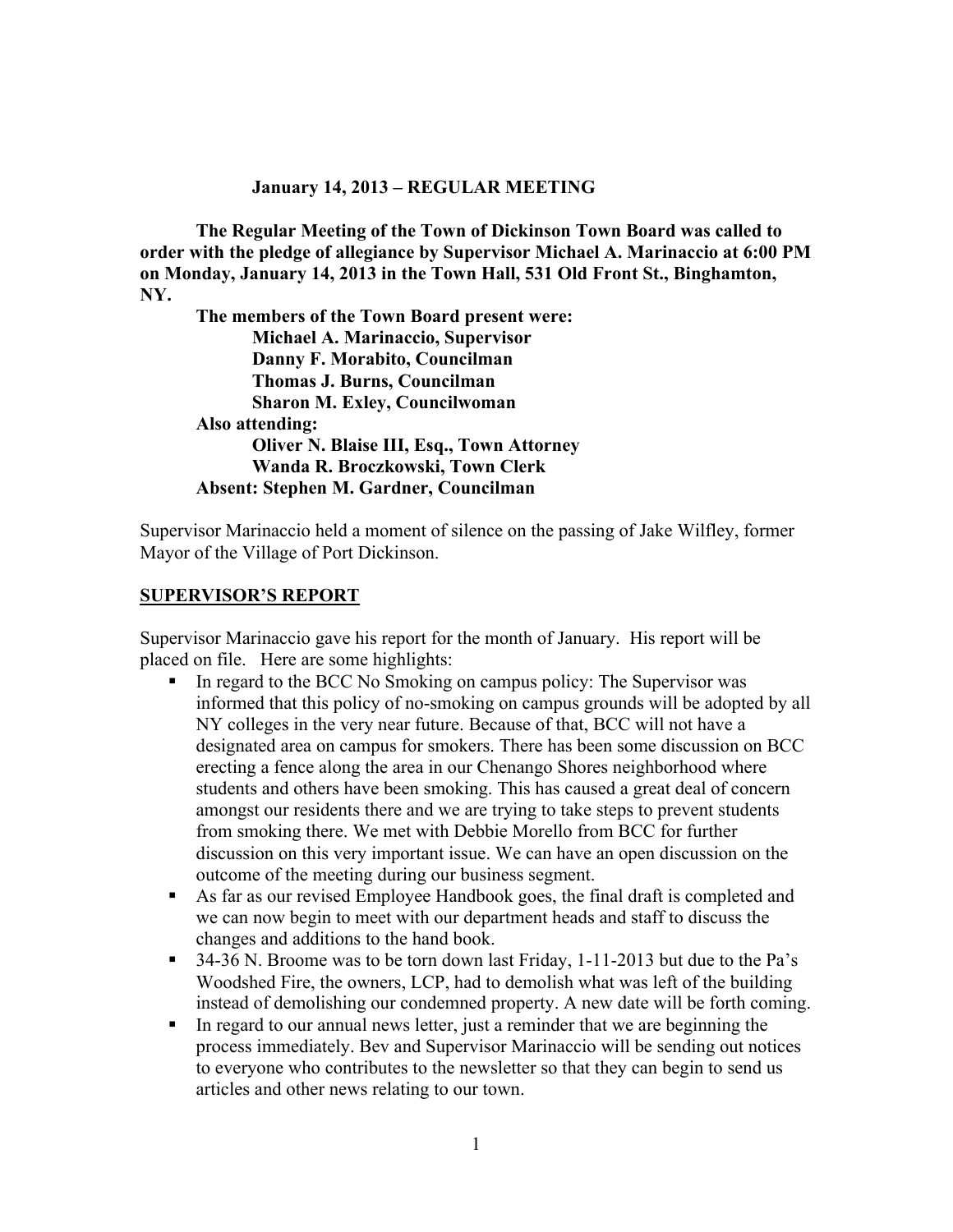#### **January 14, 2013 – REGULAR MEETING**

**The Regular Meeting of the Town of Dickinson Town Board was called to order with the pledge of allegiance by Supervisor Michael A. Marinaccio at 6:00 PM on Monday, January 14, 2013 in the Town Hall, 531 Old Front St., Binghamton, NY.** 

**The members of the Town Board present were: Michael A. Marinaccio, Supervisor Danny F. Morabito, Councilman Thomas J. Burns, Councilman Sharon M. Exley, Councilwoman Also attending: Oliver N. Blaise III, Esq., Town Attorney Wanda R. Broczkowski, Town Clerk Absent: Stephen M. Gardner, Councilman**

Supervisor Marinaccio held a moment of silence on the passing of Jake Wilfley, former Mayor of the Village of Port Dickinson.

#### **SUPERVISOR'S REPORT**

Supervisor Marinaccio gave his report for the month of January. His report will be placed on file. Here are some highlights:

- In regard to the BCC No Smoking on campus policy: The Supervisor was informed that this policy of no-smoking on campus grounds will be adopted by all NY colleges in the very near future. Because of that, BCC will not have a designated area on campus for smokers. There has been some discussion on BCC erecting a fence along the area in our Chenango Shores neighborhood where students and others have been smoking. This has caused a great deal of concern amongst our residents there and we are trying to take steps to prevent students from smoking there. We met with Debbie Morello from BCC for further discussion on this very important issue. We can have an open discussion on the outcome of the meeting during our business segment.
- As far as our revised Employee Handbook goes, the final draft is completed and we can now begin to meet with our department heads and staff to discuss the changes and additions to the hand book.
- $\overline{34-36}$  N. Broome was to be torn down last Friday, 1-11-2013 but due to the Pa's Woodshed Fire, the owners, LCP, had to demolish what was left of the building instead of demolishing our condemned property. A new date will be forth coming.
- In regard to our annual news letter, just a reminder that we are beginning the process immediately. Bev and Supervisor Marinaccio will be sending out notices to everyone who contributes to the newsletter so that they can begin to send us articles and other news relating to our town.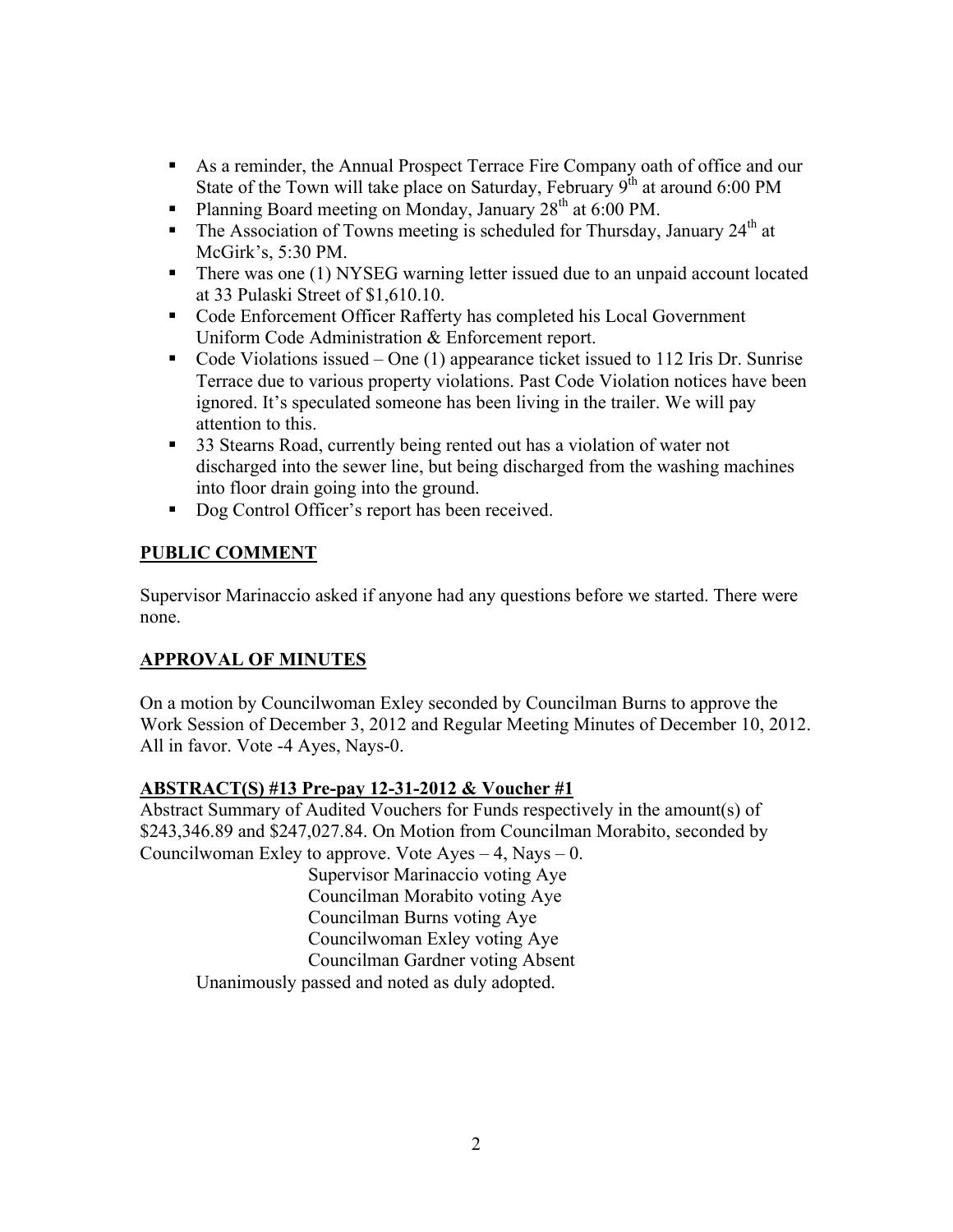- As a reminder, the Annual Prospect Terrace Fire Company oath of office and our State of the Town will take place on Saturday, February  $9^{th}$  at around 6:00 PM
- Planning Board meeting on Monday, January  $28<sup>th</sup>$  at 6:00 PM.
- The Association of Towns meeting is scheduled for Thursday, January  $24<sup>th</sup>$  at McGirk's, 5:30 PM.
- There was one (1) NYSEG warning letter issued due to an unpaid account located at 33 Pulaski Street of \$1,610.10.
- Code Enforcement Officer Rafferty has completed his Local Government Uniform Code Administration & Enforcement report.
- Code Violations issued One  $(1)$  appearance ticket issued to 112 Iris Dr. Sunrise Terrace due to various property violations. Past Code Violation notices have been ignored. It's speculated someone has been living in the trailer. We will pay attention to this.
- <sup>33</sup> Stearns Road, currently being rented out has a violation of water not discharged into the sewer line, but being discharged from the washing machines into floor drain going into the ground.
- Dog Control Officer's report has been received.

## **PUBLIC COMMENT**

Supervisor Marinaccio asked if anyone had any questions before we started. There were none.

## **APPROVAL OF MINUTES**

On a motion by Councilwoman Exley seconded by Councilman Burns to approve the Work Session of December 3, 2012 and Regular Meeting Minutes of December 10, 2012. All in favor. Vote -4 Ayes, Nays-0.

#### **ABSTRACT(S) #13 Pre-pay 12-31-2012 & Voucher #1**

Abstract Summary of Audited Vouchers for Funds respectively in the amount(s) of \$243,346.89 and \$247,027.84. On Motion from Councilman Morabito, seconded by Councilwoman Exley to approve. Vote  $Ayes - 4$ , Nays  $- 0$ .

Supervisor Marinaccio voting Aye Councilman Morabito voting Aye Councilman Burns voting Aye Councilwoman Exley voting Aye Councilman Gardner voting Absent Unanimously passed and noted as duly adopted.

2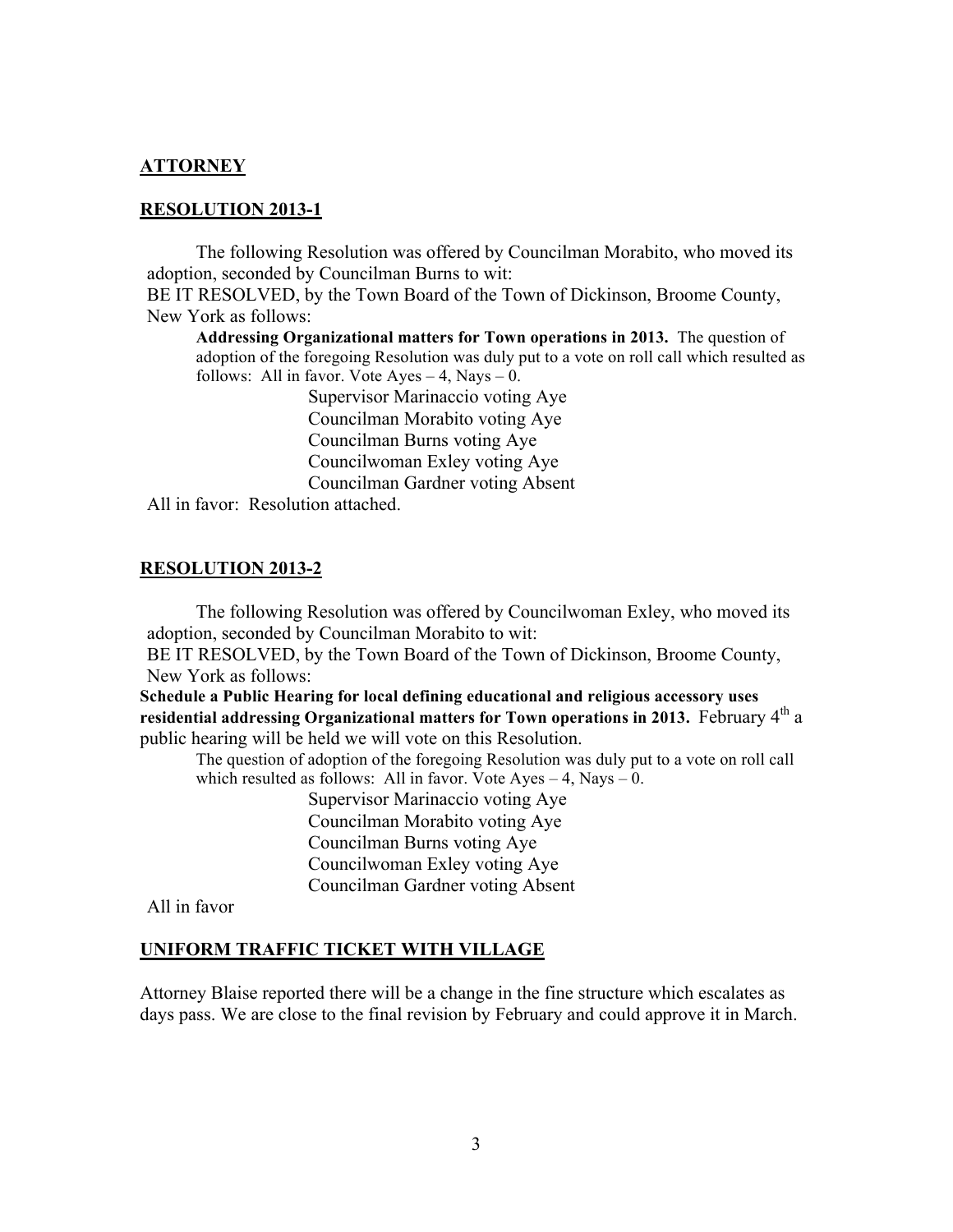#### **ATTORNEY**

#### **RESOLUTION 2013-1**

The following Resolution was offered by Councilman Morabito, who moved its adoption, seconded by Councilman Burns to wit:

BE IT RESOLVED, by the Town Board of the Town of Dickinson, Broome County, New York as follows:

**Addressing Organizational matters for Town operations in 2013.** The question of adoption of the foregoing Resolution was duly put to a vote on roll call which resulted as follows: All in favor. Vote  $Ayes - 4$ , Nays  $- 0$ .

> Supervisor Marinaccio voting Aye Councilman Morabito voting Aye Councilman Burns voting Aye Councilwoman Exley voting Aye Councilman Gardner voting Absent

All in favor: Resolution attached.

#### **RESOLUTION 2013-2**

The following Resolution was offered by Councilwoman Exley, who moved its adoption, seconded by Councilman Morabito to wit:

BE IT RESOLVED, by the Town Board of the Town of Dickinson, Broome County, New York as follows:

**Schedule a Public Hearing for local defining educational and religious accessory uses residential addressing Organizational matters for Town operations in 2013.** February 4<sup>th</sup> a public hearing will be held we will vote on this Resolution.

The question of adoption of the foregoing Resolution was duly put to a vote on roll call which resulted as follows: All in favor. Vote  $Ayes - 4$ , Nays  $- 0$ .

> Supervisor Marinaccio voting Aye Councilman Morabito voting Aye Councilman Burns voting Aye Councilwoman Exley voting Aye Councilman Gardner voting Absent

All in favor

#### **UNIFORM TRAFFIC TICKET WITH VILLAGE**

Attorney Blaise reported there will be a change in the fine structure which escalates as days pass. We are close to the final revision by February and could approve it in March.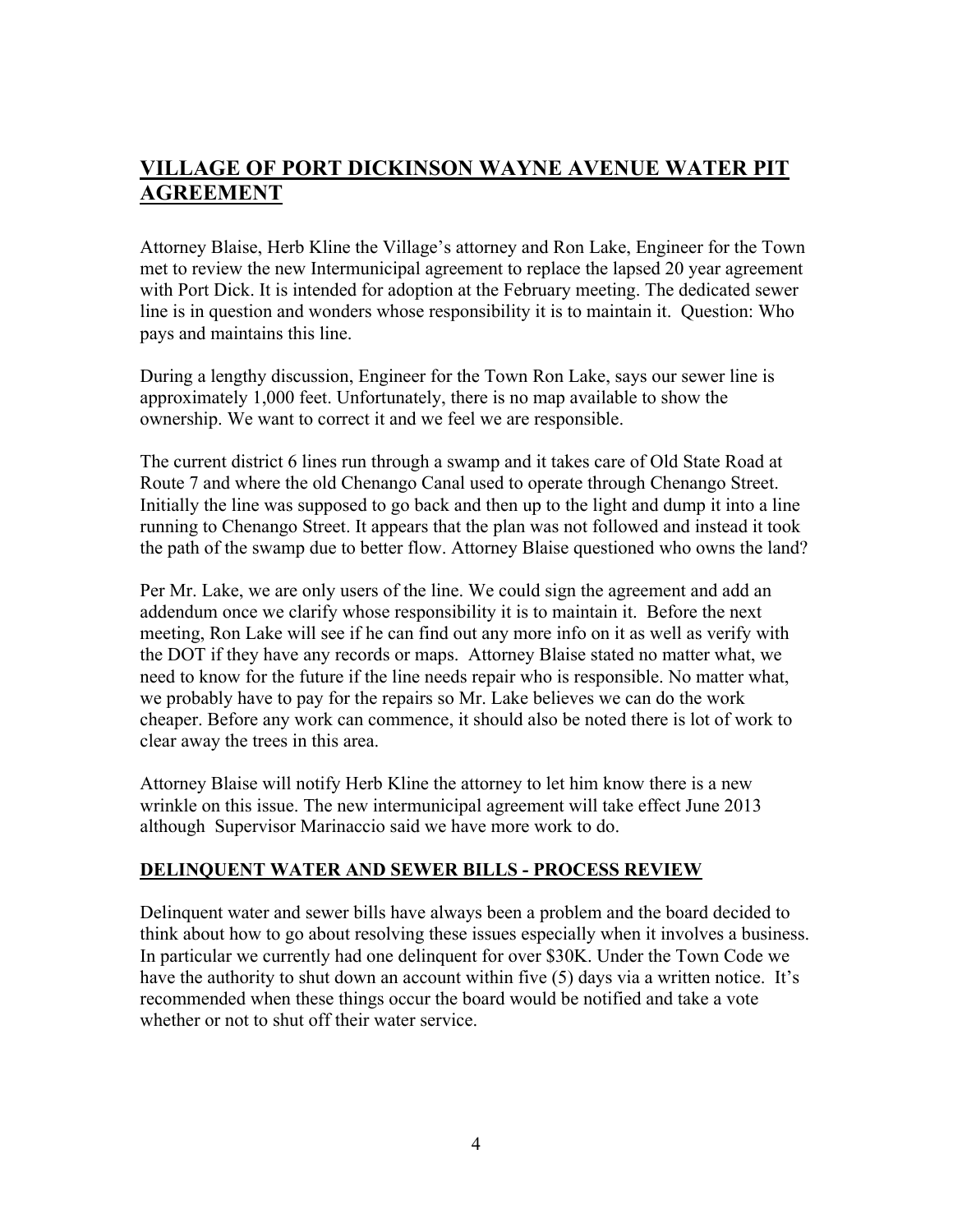# **VILLAGE OF PORT DICKINSON WAYNE AVENUE WATER PIT AGREEMENT**

Attorney Blaise, Herb Kline the Village's attorney and Ron Lake, Engineer for the Town met to review the new Intermunicipal agreement to replace the lapsed 20 year agreement with Port Dick. It is intended for adoption at the February meeting. The dedicated sewer line is in question and wonders whose responsibility it is to maintain it. Question: Who pays and maintains this line.

During a lengthy discussion, Engineer for the Town Ron Lake, says our sewer line is approximately 1,000 feet. Unfortunately, there is no map available to show the ownership. We want to correct it and we feel we are responsible.

The current district 6 lines run through a swamp and it takes care of Old State Road at Route 7 and where the old Chenango Canal used to operate through Chenango Street. Initially the line was supposed to go back and then up to the light and dump it into a line running to Chenango Street. It appears that the plan was not followed and instead it took the path of the swamp due to better flow. Attorney Blaise questioned who owns the land?

Per Mr. Lake, we are only users of the line. We could sign the agreement and add an addendum once we clarify whose responsibility it is to maintain it. Before the next meeting, Ron Lake will see if he can find out any more info on it as well as verify with the DOT if they have any records or maps. Attorney Blaise stated no matter what, we need to know for the future if the line needs repair who is responsible. No matter what, we probably have to pay for the repairs so Mr. Lake believes we can do the work cheaper. Before any work can commence, it should also be noted there is lot of work to clear away the trees in this area.

Attorney Blaise will notify Herb Kline the attorney to let him know there is a new wrinkle on this issue. The new intermunicipal agreement will take effect June 2013 although Supervisor Marinaccio said we have more work to do.

#### **DELINQUENT WATER AND SEWER BILLS - PROCESS REVIEW**

Delinquent water and sewer bills have always been a problem and the board decided to think about how to go about resolving these issues especially when it involves a business. In particular we currently had one delinquent for over \$30K. Under the Town Code we have the authority to shut down an account within five (5) days via a written notice. It's recommended when these things occur the board would be notified and take a vote whether or not to shut off their water service.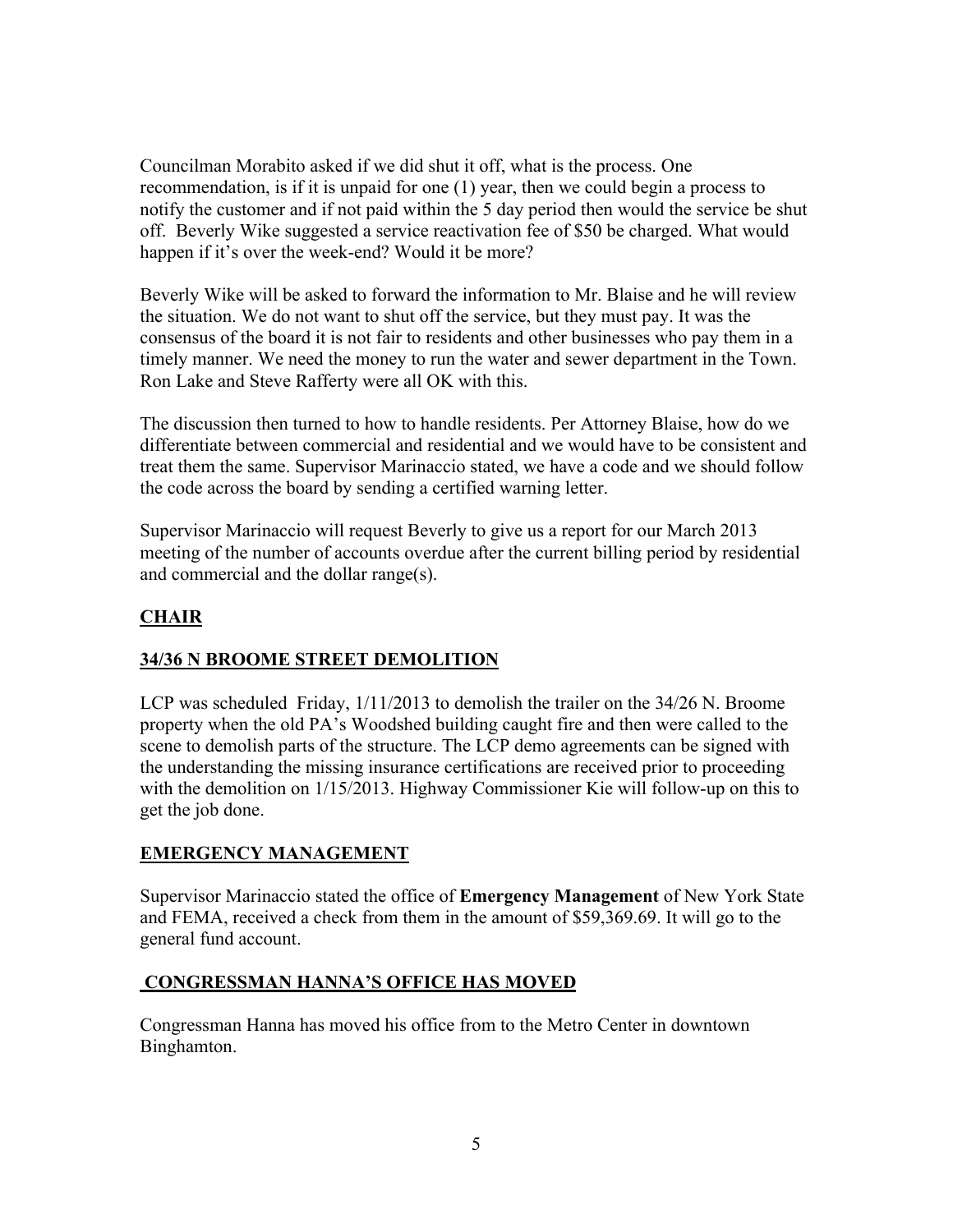Councilman Morabito asked if we did shut it off, what is the process. One recommendation, is if it is unpaid for one (1) year, then we could begin a process to notify the customer and if not paid within the 5 day period then would the service be shut off. Beverly Wike suggested a service reactivation fee of \$50 be charged. What would happen if it's over the week-end? Would it be more?

Beverly Wike will be asked to forward the information to Mr. Blaise and he will review the situation. We do not want to shut off the service, but they must pay. It was the consensus of the board it is not fair to residents and other businesses who pay them in a timely manner. We need the money to run the water and sewer department in the Town. Ron Lake and Steve Rafferty were all OK with this.

The discussion then turned to how to handle residents. Per Attorney Blaise, how do we differentiate between commercial and residential and we would have to be consistent and treat them the same. Supervisor Marinaccio stated, we have a code and we should follow the code across the board by sending a certified warning letter.

Supervisor Marinaccio will request Beverly to give us a report for our March 2013 meeting of the number of accounts overdue after the current billing period by residential and commercial and the dollar range(s).

# **CHAIR**

## **34/36 N BROOME STREET DEMOLITION**

LCP was scheduled Friday, 1/11/2013 to demolish the trailer on the 34/26 N. Broome property when the old PA's Woodshed building caught fire and then were called to the scene to demolish parts of the structure. The LCP demo agreements can be signed with the understanding the missing insurance certifications are received prior to proceeding with the demolition on  $1/15/2013$ . Highway Commissioner Kie will follow-up on this to get the job done.

## **EMERGENCY MANAGEMENT**

Supervisor Marinaccio stated the office of **Emergency Management** of New York State and FEMA, received a check from them in the amount of \$59,369.69. It will go to the general fund account.

## **CONGRESSMAN HANNA'S OFFICE HAS MOVED**

Congressman Hanna has moved his office from to the Metro Center in downtown Binghamton.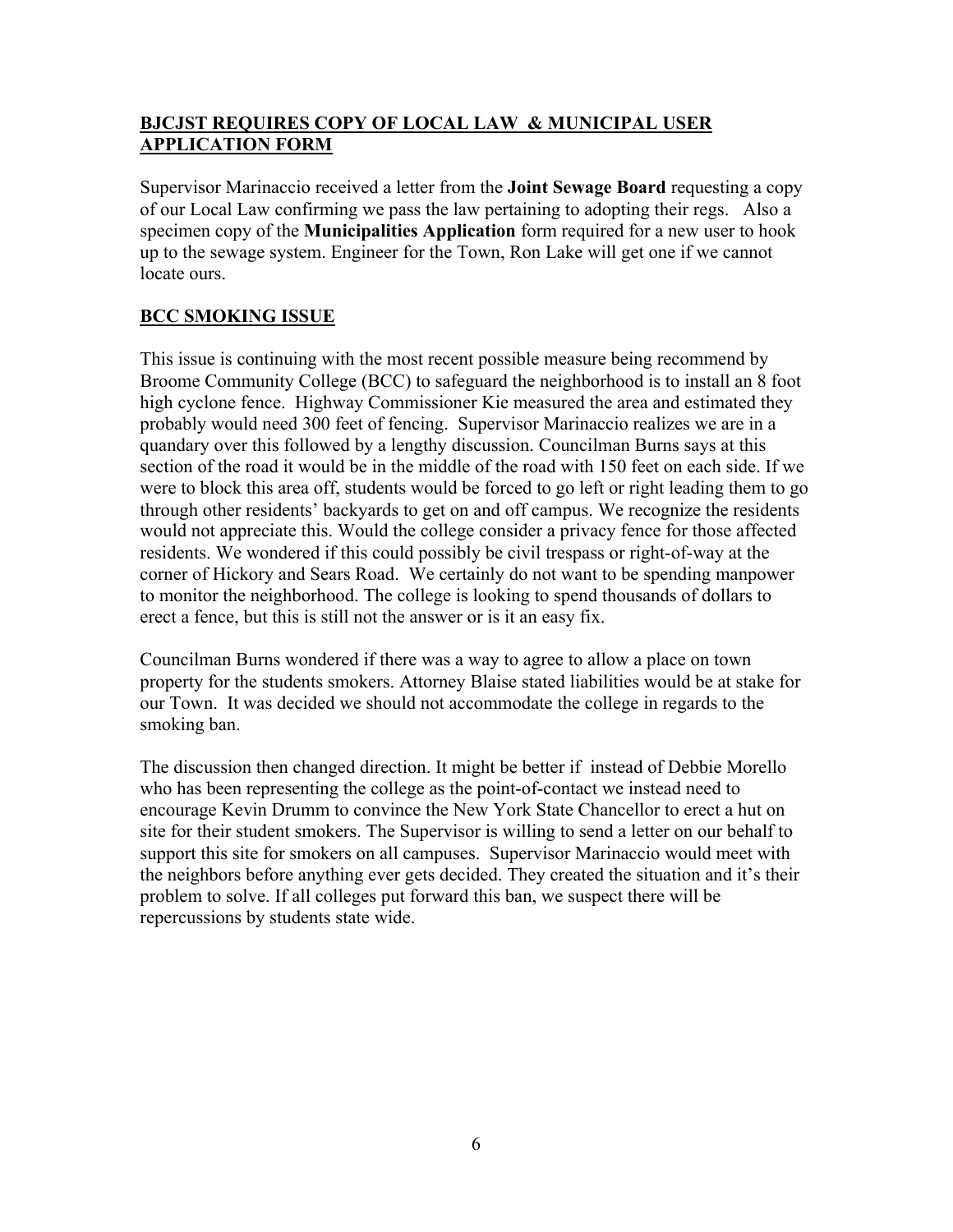## **BJCJST REQUIRES COPY OF LOCAL LAW & MUNICIPAL USER APPLICATION FORM**

Supervisor Marinaccio received a letter from the **Joint Sewage Board** requesting a copy of our Local Law confirming we pass the law pertaining to adopting their regs. Also a specimen copy of the **Municipalities Application** form required for a new user to hook up to the sewage system. Engineer for the Town, Ron Lake will get one if we cannot locate ours.

## **BCC SMOKING ISSUE**

This issue is continuing with the most recent possible measure being recommend by Broome Community College (BCC) to safeguard the neighborhood is to install an 8 foot high cyclone fence. Highway Commissioner Kie measured the area and estimated they probably would need 300 feet of fencing. Supervisor Marinaccio realizes we are in a quandary over this followed by a lengthy discussion. Councilman Burns says at this section of the road it would be in the middle of the road with 150 feet on each side. If we were to block this area off, students would be forced to go left or right leading them to go through other residents' backyards to get on and off campus. We recognize the residents would not appreciate this. Would the college consider a privacy fence for those affected residents. We wondered if this could possibly be civil trespass or right-of-way at the corner of Hickory and Sears Road. We certainly do not want to be spending manpower to monitor the neighborhood. The college is looking to spend thousands of dollars to erect a fence, but this is still not the answer or is it an easy fix.

Councilman Burns wondered if there was a way to agree to allow a place on town property for the students smokers. Attorney Blaise stated liabilities would be at stake for our Town. It was decided we should not accommodate the college in regards to the smoking ban.

The discussion then changed direction. It might be better if instead of Debbie Morello who has been representing the college as the point-of-contact we instead need to encourage Kevin Drumm to convince the New York State Chancellor to erect a hut on site for their student smokers. The Supervisor is willing to send a letter on our behalf to support this site for smokers on all campuses. Supervisor Marinaccio would meet with the neighbors before anything ever gets decided. They created the situation and it's their problem to solve. If all colleges put forward this ban, we suspect there will be repercussions by students state wide.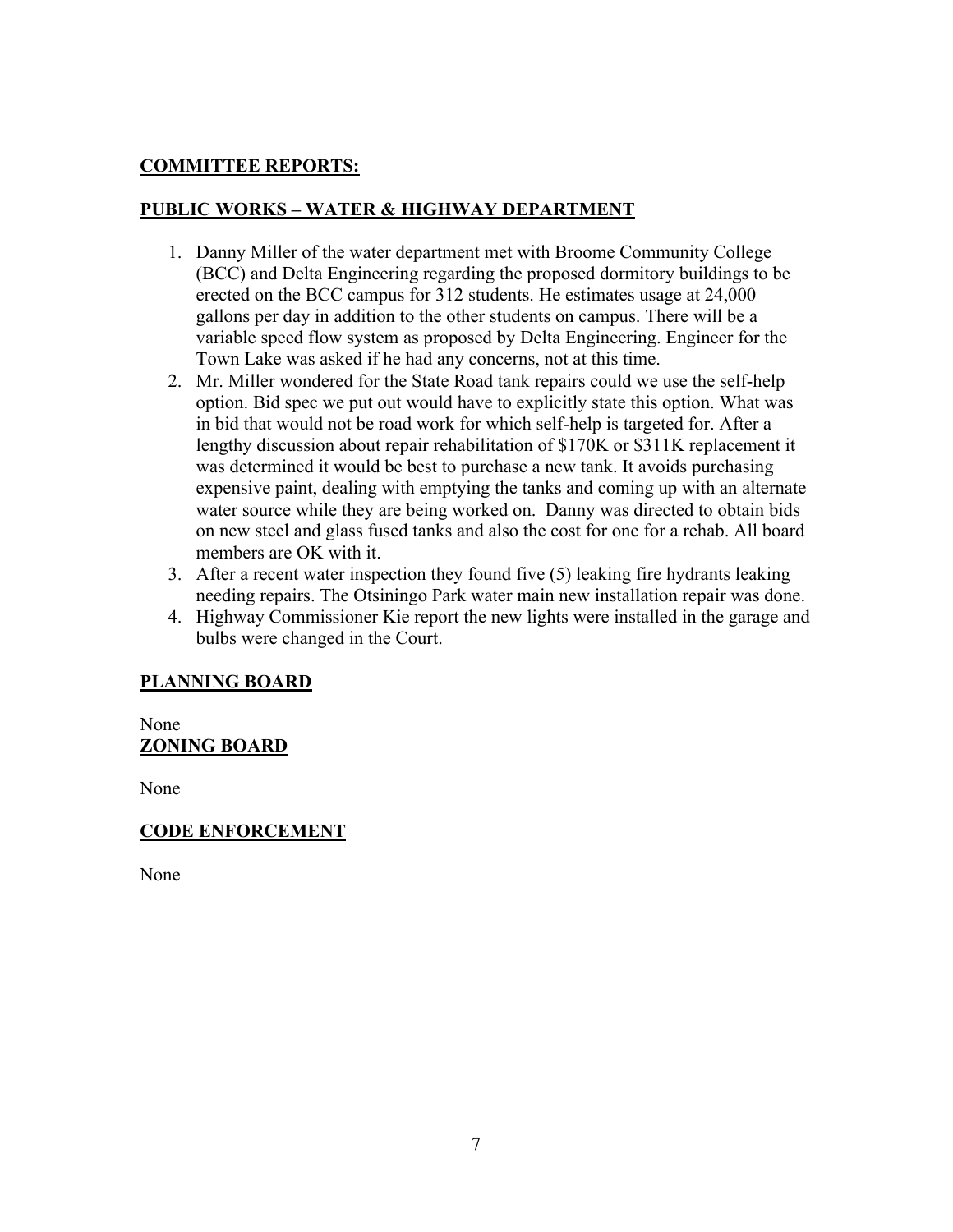# **COMMITTEE REPORTS:**

# **PUBLIC WORKS – WATER & HIGHWAY DEPARTMENT**

- 1. Danny Miller of the water department met with Broome Community College (BCC) and Delta Engineering regarding the proposed dormitory buildings to be erected on the BCC campus for 312 students. He estimates usage at 24,000 gallons per day in addition to the other students on campus. There will be a variable speed flow system as proposed by Delta Engineering. Engineer for the Town Lake was asked if he had any concerns, not at this time.
- 2. Mr. Miller wondered for the State Road tank repairs could we use the self-help option. Bid spec we put out would have to explicitly state this option. What was in bid that would not be road work for which self-help is targeted for. After a lengthy discussion about repair rehabilitation of \$170K or \$311K replacement it was determined it would be best to purchase a new tank. It avoids purchasing expensive paint, dealing with emptying the tanks and coming up with an alternate water source while they are being worked on. Danny was directed to obtain bids on new steel and glass fused tanks and also the cost for one for a rehab. All board members are OK with it.
- 3. After a recent water inspection they found five (5) leaking fire hydrants leaking needing repairs. The Otsiningo Park water main new installation repair was done.
- 4. Highway Commissioner Kie report the new lights were installed in the garage and bulbs were changed in the Court.

## **PLANNING BOARD**

None **ZONING BOARD**

None

## **CODE ENFORCEMENT**

None